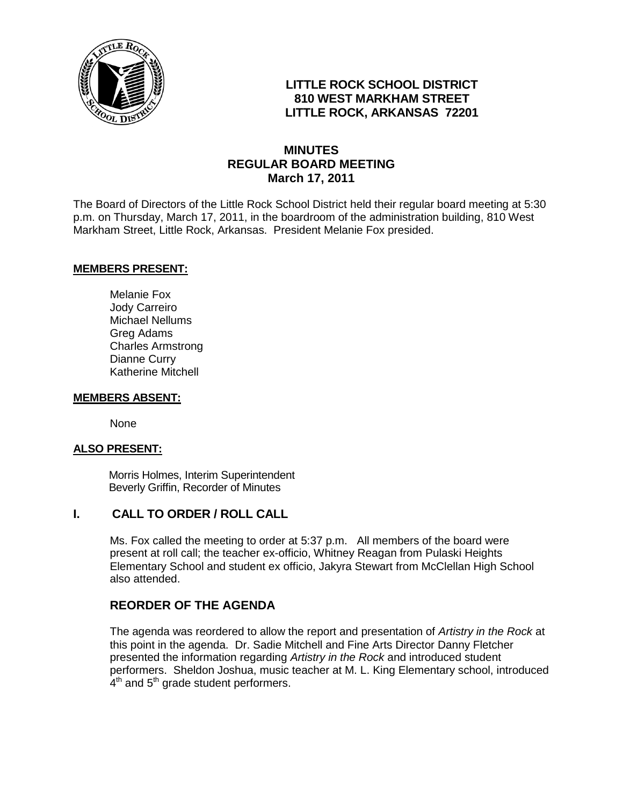

## **LITTLE ROCK SCHOOL DISTRICT 810 WEST MARKHAM STREET LITTLE ROCK, ARKANSAS 72201**

## **MINUTES REGULAR BOARD MEETING March 17, 2011**

The Board of Directors of the Little Rock School District held their regular board meeting at 5:30 p.m. on Thursday, March 17, 2011, in the boardroom of the administration building, 810 West Markham Street, Little Rock, Arkansas. President Melanie Fox presided.

#### **MEMBERS PRESENT:**

Melanie Fox Jody Carreiro Michael Nellums Greg Adams Charles Armstrong Dianne Curry Katherine Mitchell

#### **MEMBERS ABSENT:**

None

#### **ALSO PRESENT:**

 Morris Holmes, Interim Superintendent Beverly Griffin, Recorder of Minutes

## **I. CALL TO ORDER / ROLL CALL**

Ms. Fox called the meeting to order at 5:37 p.m. All members of the board were present at roll call; the teacher ex-officio, Whitney Reagan from Pulaski Heights Elementary School and student ex officio, Jakyra Stewart from McClellan High School also attended.

#### **REORDER OF THE AGENDA**

The agenda was reordered to allow the report and presentation of *Artistry in the Rock* at this point in the agenda. Dr. Sadie Mitchell and Fine Arts Director Danny Fletcher presented the information regarding *Artistry in the Rock* and introduced student performers. Sheldon Joshua, music teacher at M. L. King Elementary school, introduced  $4<sup>th</sup>$  and  $5<sup>th</sup>$  grade student performers.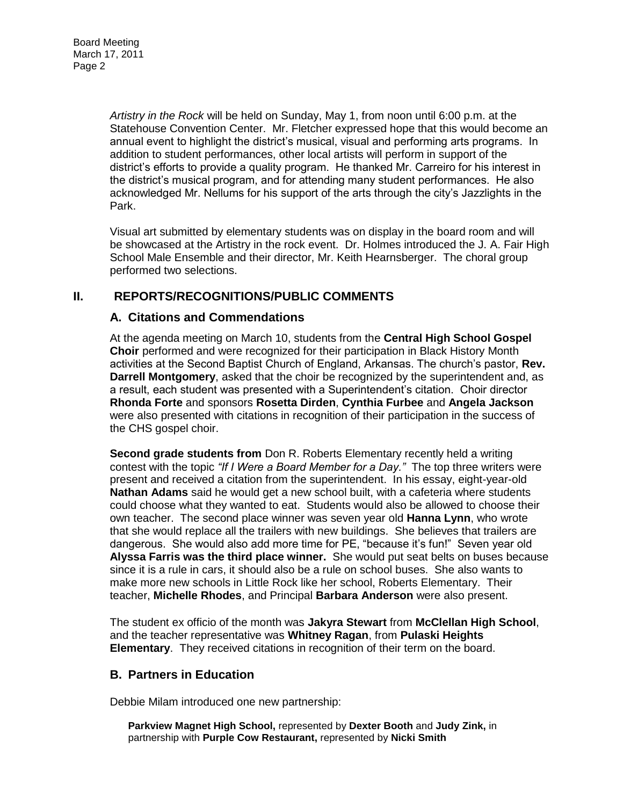*Artistry in the Rock* will be held on Sunday, May 1, from noon until 6:00 p.m. at the Statehouse Convention Center. Mr. Fletcher expressed hope that this would become an annual event to highlight the district's musical, visual and performing arts programs. In addition to student performances, other local artists will perform in support of the district's efforts to provide a quality program. He thanked Mr. Carreiro for his interest in the district's musical program, and for attending many student performances. He also acknowledged Mr. Nellums for his support of the arts through the city's Jazzlights in the Park.

Visual art submitted by elementary students was on display in the board room and will be showcased at the Artistry in the rock event. Dr. Holmes introduced the J. A. Fair High School Male Ensemble and their director, Mr. Keith Hearnsberger. The choral group performed two selections.

## **II. REPORTS/RECOGNITIONS/PUBLIC COMMENTS**

### **A. Citations and Commendations**

At the agenda meeting on March 10, students from the **Central High School Gospel Choir** performed and were recognized for their participation in Black History Month activities at the Second Baptist Church of England, Arkansas. The church's pastor, **Rev. Darrell Montgomery**, asked that the choir be recognized by the superintendent and, as a result, each student was presented with a Superintendent's citation. Choir director **Rhonda Forte** and sponsors **Rosetta Dirden**, **Cynthia Furbee** and **Angela Jackson**  were also presented with citations in recognition of their participation in the success of the CHS gospel choir.

**Second grade students from** Don R. Roberts Elementary recently held a writing contest with the topic *"If I Were a Board Member for a Day."* The top three writers were present and received a citation from the superintendent. In his essay, eight-year-old **Nathan Adams** said he would get a new school built, with a cafeteria where students could choose what they wanted to eat. Students would also be allowed to choose their own teacher. The second place winner was seven year old **Hanna Lynn**, who wrote that she would replace all the trailers with new buildings. She believes that trailers are dangerous. She would also add more time for PE, "because it's fun!" Seven year old **Alyssa Farris was the third place winner.** She would put seat belts on buses because since it is a rule in cars, it should also be a rule on school buses. She also wants to make more new schools in Little Rock like her school, Roberts Elementary. Their teacher, **Michelle Rhodes**, and Principal **Barbara Anderson** were also present.

The student ex officio of the month was **Jakyra Stewart** from **McClellan High School**, and the teacher representative was **Whitney Ragan**, from **Pulaski Heights Elementary**. They received citations in recognition of their term on the board.

#### **B. Partners in Education**

Debbie Milam introduced one new partnership:

**Parkview Magnet High School,** represented by **Dexter Booth** and **Judy Zink,** in partnership with **Purple Cow Restaurant,** represented by **Nicki Smith**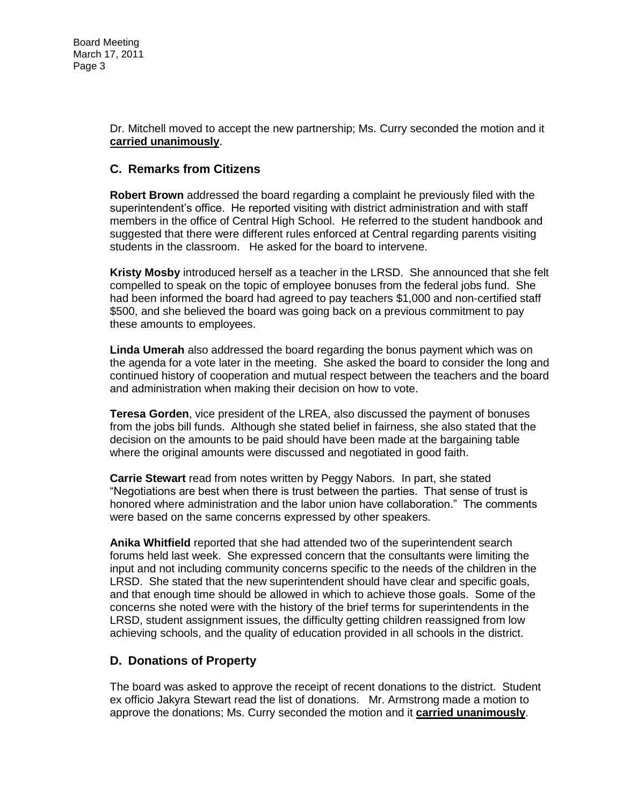Dr. Mitchell moved to accept the new partnership; Ms. Curry seconded the motion and it **carried unanimously**.

### **C. Remarks from Citizens**

**Robert Brown** addressed the board regarding a complaint he previously filed with the superintendent's office. He reported visiting with district administration and with staff members in the office of Central High School. He referred to the student handbook and suggested that there were different rules enforced at Central regarding parents visiting students in the classroom. He asked for the board to intervene.

**Kristy Mosby** introduced herself as a teacher in the LRSD. She announced that she felt compelled to speak on the topic of employee bonuses from the federal jobs fund. She had been informed the board had agreed to pay teachers \$1,000 and non-certified staff \$500, and she believed the board was going back on a previous commitment to pay these amounts to employees.

**Linda Umerah** also addressed the board regarding the bonus payment which was on the agenda for a vote later in the meeting. She asked the board to consider the long and continued history of cooperation and mutual respect between the teachers and the board and administration when making their decision on how to vote.

**Teresa Gorden**, vice president of the LREA, also discussed the payment of bonuses from the jobs bill funds. Although she stated belief in fairness, she also stated that the decision on the amounts to be paid should have been made at the bargaining table where the original amounts were discussed and negotiated in good faith.

**Carrie Stewart** read from notes written by Peggy Nabors. In part, she stated "Negotiations are best when there is trust between the parties. That sense of trust is honored where administration and the labor union have collaboration." The comments were based on the same concerns expressed by other speakers.

**Anika Whitfield** reported that she had attended two of the superintendent search forums held last week. She expressed concern that the consultants were limiting the input and not including community concerns specific to the needs of the children in the LRSD. She stated that the new superintendent should have clear and specific goals, and that enough time should be allowed in which to achieve those goals. Some of the concerns she noted were with the history of the brief terms for superintendents in the LRSD, student assignment issues, the difficulty getting children reassigned from low achieving schools, and the quality of education provided in all schools in the district.

## **D. Donations of Property**

The board was asked to approve the receipt of recent donations to the district. Student ex officio Jakyra Stewart read the list of donations. Mr. Armstrong made a motion to approve the donations; Ms. Curry seconded the motion and it **carried unanimously**.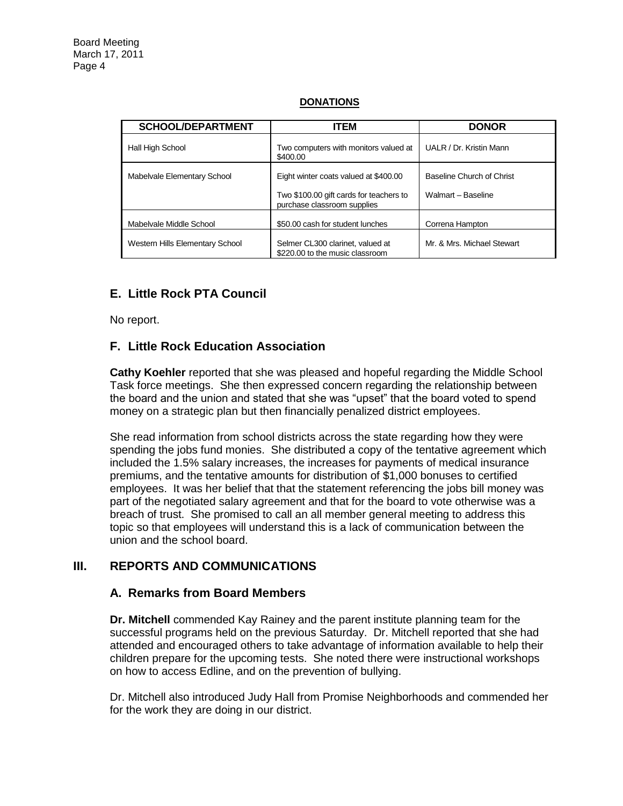#### **SCHOOL/DEPARTMENT ITEM DONOR** Hall High School **Hall High School** Two computers with monitors valued at \$400.00 UALR / Dr. Kristin Mann Mabelvale Elementary School Eight winter coats valued at \$400.00 Two \$100.00 gift cards for teachers to purchase classroom supplies Baseline Church of Christ Walmart – Baseline Mabelvale Middle School | \$50.00 cash for student lunches | Correna Hampton Western Hills Elementary School Selmer CL300 clarinet, valued at \$220.00 to the music classroom Mr. & Mrs. Michael Stewart

#### **DONATIONS**

## **E. Little Rock PTA Council**

No report.

## **F. Little Rock Education Association**

**Cathy Koehler** reported that she was pleased and hopeful regarding the Middle School Task force meetings. She then expressed concern regarding the relationship between the board and the union and stated that she was "upset" that the board voted to spend money on a strategic plan but then financially penalized district employees.

She read information from school districts across the state regarding how they were spending the jobs fund monies. She distributed a copy of the tentative agreement which included the 1.5% salary increases, the increases for payments of medical insurance premiums, and the tentative amounts for distribution of \$1,000 bonuses to certified employees. It was her belief that that the statement referencing the jobs bill money was part of the negotiated salary agreement and that for the board to vote otherwise was a breach of trust. She promised to call an all member general meeting to address this topic so that employees will understand this is a lack of communication between the union and the school board.

## **III. REPORTS AND COMMUNICATIONS**

#### **A. Remarks from Board Members**

**Dr. Mitchell** commended Kay Rainey and the parent institute planning team for the successful programs held on the previous Saturday. Dr. Mitchell reported that she had attended and encouraged others to take advantage of information available to help their children prepare for the upcoming tests. She noted there were instructional workshops on how to access Edline, and on the prevention of bullying.

Dr. Mitchell also introduced Judy Hall from Promise Neighborhoods and commended her for the work they are doing in our district.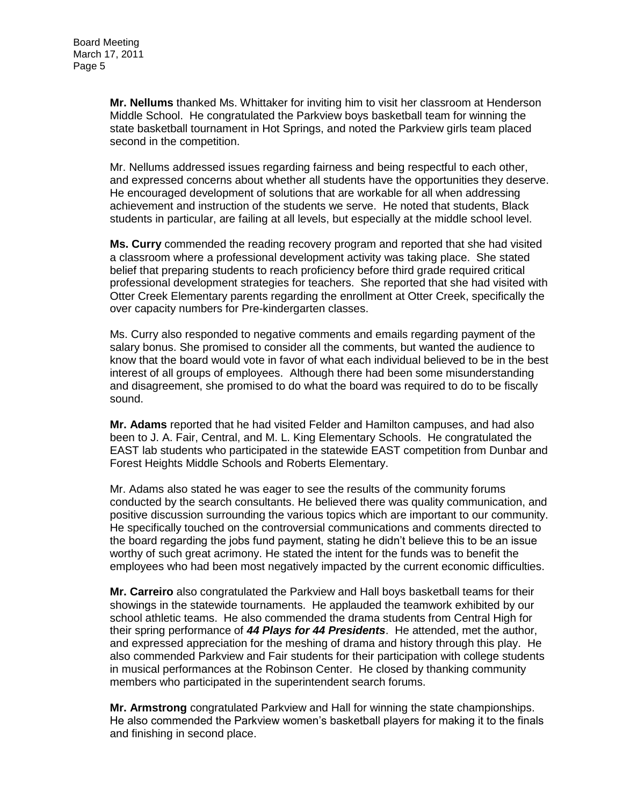**Mr. Nellums** thanked Ms. Whittaker for inviting him to visit her classroom at Henderson Middle School. He congratulated the Parkview boys basketball team for winning the state basketball tournament in Hot Springs, and noted the Parkview girls team placed second in the competition.

Mr. Nellums addressed issues regarding fairness and being respectful to each other, and expressed concerns about whether all students have the opportunities they deserve. He encouraged development of solutions that are workable for all when addressing achievement and instruction of the students we serve. He noted that students, Black students in particular, are failing at all levels, but especially at the middle school level.

**Ms. Curry** commended the reading recovery program and reported that she had visited a classroom where a professional development activity was taking place. She stated belief that preparing students to reach proficiency before third grade required critical professional development strategies for teachers. She reported that she had visited with Otter Creek Elementary parents regarding the enrollment at Otter Creek, specifically the over capacity numbers for Pre-kindergarten classes.

Ms. Curry also responded to negative comments and emails regarding payment of the salary bonus. She promised to consider all the comments, but wanted the audience to know that the board would vote in favor of what each individual believed to be in the best interest of all groups of employees. Although there had been some misunderstanding and disagreement, she promised to do what the board was required to do to be fiscally sound.

**Mr. Adams** reported that he had visited Felder and Hamilton campuses, and had also been to J. A. Fair, Central, and M. L. King Elementary Schools. He congratulated the EAST lab students who participated in the statewide EAST competition from Dunbar and Forest Heights Middle Schools and Roberts Elementary.

Mr. Adams also stated he was eager to see the results of the community forums conducted by the search consultants. He believed there was quality communication, and positive discussion surrounding the various topics which are important to our community. He specifically touched on the controversial communications and comments directed to the board regarding the jobs fund payment, stating he didn't believe this to be an issue worthy of such great acrimony. He stated the intent for the funds was to benefit the employees who had been most negatively impacted by the current economic difficulties.

**Mr. Carreiro** also congratulated the Parkview and Hall boys basketball teams for their showings in the statewide tournaments. He applauded the teamwork exhibited by our school athletic teams. He also commended the drama students from Central High for their spring performance of *44 Plays for 44 Presidents*. He attended, met the author, and expressed appreciation for the meshing of drama and history through this play. He also commended Parkview and Fair students for their participation with college students in musical performances at the Robinson Center. He closed by thanking community members who participated in the superintendent search forums.

**Mr. Armstrong** congratulated Parkview and Hall for winning the state championships. He also commended the Parkview women's basketball players for making it to the finals and finishing in second place.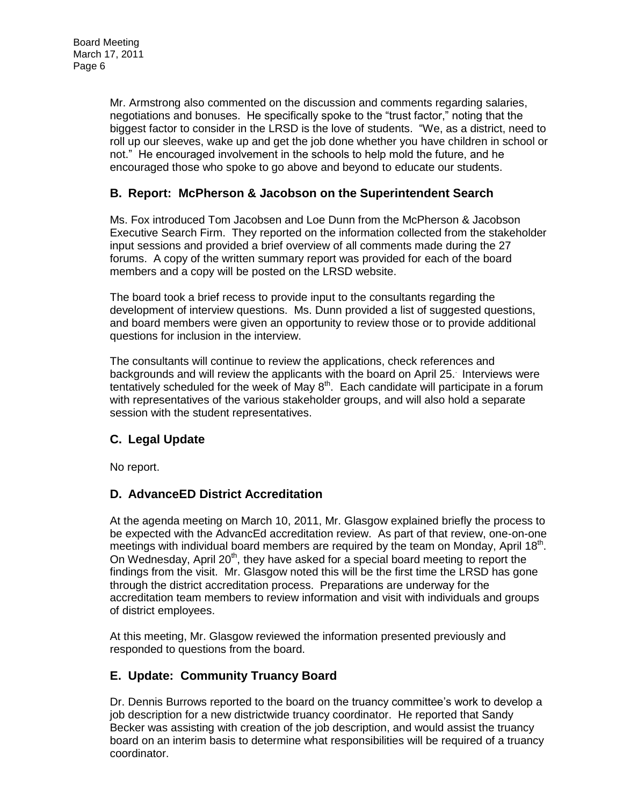Mr. Armstrong also commented on the discussion and comments regarding salaries, negotiations and bonuses. He specifically spoke to the "trust factor," noting that the biggest factor to consider in the LRSD is the love of students. "We, as a district, need to roll up our sleeves, wake up and get the job done whether you have children in school or not." He encouraged involvement in the schools to help mold the future, and he encouraged those who spoke to go above and beyond to educate our students.

## **B. Report: McPherson & Jacobson on the Superintendent Search**

Ms. Fox introduced Tom Jacobsen and Loe Dunn from the McPherson & Jacobson Executive Search Firm. They reported on the information collected from the stakeholder input sessions and provided a brief overview of all comments made during the 27 forums. A copy of the written summary report was provided for each of the board members and a copy will be posted on the LRSD website.

The board took a brief recess to provide input to the consultants regarding the development of interview questions. Ms. Dunn provided a list of suggested questions, and board members were given an opportunity to review those or to provide additional questions for inclusion in the interview.

The consultants will continue to review the applications, check references and backgrounds and will review the applicants with the board on April 25. . Interviews were tentatively scheduled for the week of May  $8<sup>th</sup>$ . Each candidate will participate in a forum with representatives of the various stakeholder groups, and will also hold a separate session with the student representatives.

## **C. Legal Update**

No report.

## **D. AdvanceED District Accreditation**

At the agenda meeting on March 10, 2011, Mr. Glasgow explained briefly the process to be expected with the AdvancEd accreditation review. As part of that review, one-on-one meetings with individual board members are required by the team on Monday, April 18<sup>th</sup>. On Wednesday, April  $20<sup>th</sup>$ , they have asked for a special board meeting to report the findings from the visit. Mr. Glasgow noted this will be the first time the LRSD has gone through the district accreditation process. Preparations are underway for the accreditation team members to review information and visit with individuals and groups of district employees.

At this meeting, Mr. Glasgow reviewed the information presented previously and responded to questions from the board.

## **E. Update: Community Truancy Board**

Dr. Dennis Burrows reported to the board on the truancy committee's work to develop a job description for a new districtwide truancy coordinator. He reported that Sandy Becker was assisting with creation of the job description, and would assist the truancy board on an interim basis to determine what responsibilities will be required of a truancy coordinator.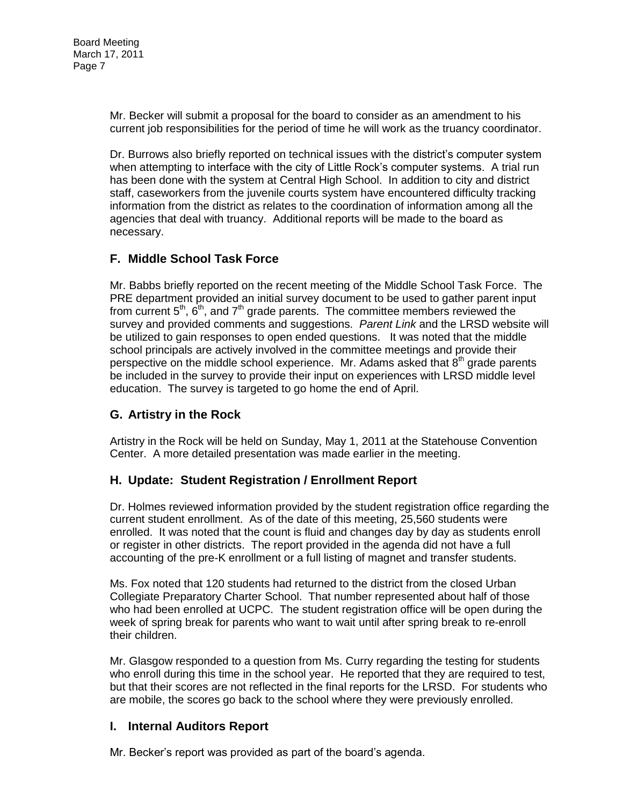Mr. Becker will submit a proposal for the board to consider as an amendment to his current job responsibilities for the period of time he will work as the truancy coordinator.

Dr. Burrows also briefly reported on technical issues with the district's computer system when attempting to interface with the city of Little Rock's computer systems. A trial run has been done with the system at Central High School. In addition to city and district staff, caseworkers from the juvenile courts system have encountered difficulty tracking information from the district as relates to the coordination of information among all the agencies that deal with truancy. Additional reports will be made to the board as necessary.

# **F. Middle School Task Force**

Mr. Babbs briefly reported on the recent meeting of the Middle School Task Force. The PRE department provided an initial survey document to be used to gather parent input from current  $5<sup>th</sup>$ ,  $6<sup>th</sup>$ , and  $7<sup>th</sup>$  grade parents. The committee members reviewed the survey and provided comments and suggestions. *Parent Link* and the LRSD website will be utilized to gain responses to open ended questions. It was noted that the middle school principals are actively involved in the committee meetings and provide their perspective on the middle school experience. Mr. Adams asked that  $8<sup>th</sup>$  grade parents be included in the survey to provide their input on experiences with LRSD middle level education. The survey is targeted to go home the end of April.

## **G. Artistry in the Rock**

Artistry in the Rock will be held on Sunday, May 1, 2011 at the Statehouse Convention Center. A more detailed presentation was made earlier in the meeting.

## **H. Update: Student Registration / Enrollment Report**

Dr. Holmes reviewed information provided by the student registration office regarding the current student enrollment. As of the date of this meeting, 25,560 students were enrolled. It was noted that the count is fluid and changes day by day as students enroll or register in other districts. The report provided in the agenda did not have a full accounting of the pre-K enrollment or a full listing of magnet and transfer students.

Ms. Fox noted that 120 students had returned to the district from the closed Urban Collegiate Preparatory Charter School. That number represented about half of those who had been enrolled at UCPC. The student registration office will be open during the week of spring break for parents who want to wait until after spring break to re-enroll their children.

Mr. Glasgow responded to a question from Ms. Curry regarding the testing for students who enroll during this time in the school year. He reported that they are required to test, but that their scores are not reflected in the final reports for the LRSD. For students who are mobile, the scores go back to the school where they were previously enrolled.

## **I. Internal Auditors Report**

Mr. Becker's report was provided as part of the board's agenda.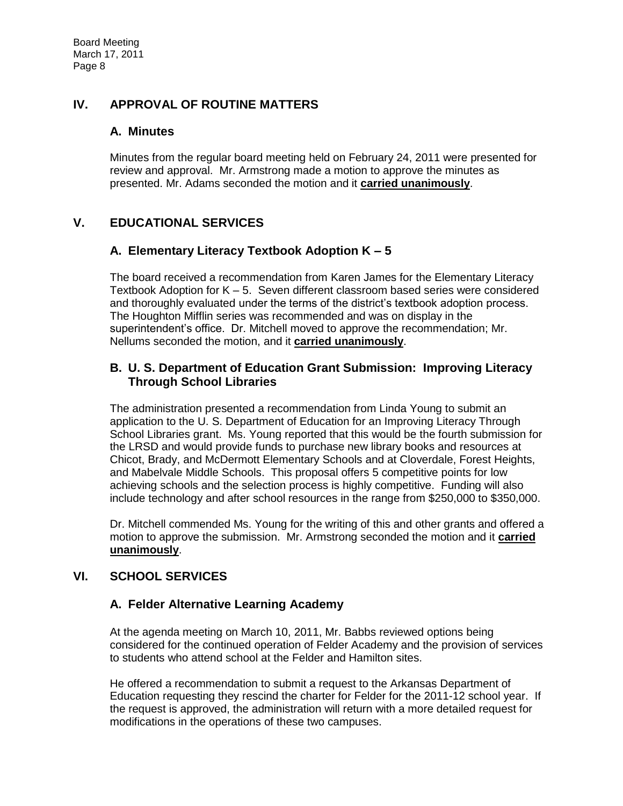## **IV. APPROVAL OF ROUTINE MATTERS**

## **A. Minutes**

Minutes from the regular board meeting held on February 24, 2011 were presented for review and approval. Mr. Armstrong made a motion to approve the minutes as presented. Mr. Adams seconded the motion and it **carried unanimously**.

# **V. EDUCATIONAL SERVICES**

## **A. Elementary Literacy Textbook Adoption K – 5**

The board received a recommendation from Karen James for the Elementary Literacy Textbook Adoption for K – 5. Seven different classroom based series were considered and thoroughly evaluated under the terms of the district's textbook adoption process. The Houghton Mifflin series was recommended and was on display in the superintendent's office. Dr. Mitchell moved to approve the recommendation; Mr. Nellums seconded the motion, and it **carried unanimously**.

## **B. U. S. Department of Education Grant Submission: Improving Literacy Through School Libraries**

The administration presented a recommendation from Linda Young to submit an application to the U. S. Department of Education for an Improving Literacy Through School Libraries grant. Ms. Young reported that this would be the fourth submission for the LRSD and would provide funds to purchase new library books and resources at Chicot, Brady, and McDermott Elementary Schools and at Cloverdale, Forest Heights, and Mabelvale Middle Schools. This proposal offers 5 competitive points for low achieving schools and the selection process is highly competitive. Funding will also include technology and after school resources in the range from \$250,000 to \$350,000.

Dr. Mitchell commended Ms. Young for the writing of this and other grants and offered a motion to approve the submission. Mr. Armstrong seconded the motion and it **carried unanimously**.

## **VI. SCHOOL SERVICES**

## **A. Felder Alternative Learning Academy**

At the agenda meeting on March 10, 2011, Mr. Babbs reviewed options being considered for the continued operation of Felder Academy and the provision of services to students who attend school at the Felder and Hamilton sites.

He offered a recommendation to submit a request to the Arkansas Department of Education requesting they rescind the charter for Felder for the 2011-12 school year. If the request is approved, the administration will return with a more detailed request for modifications in the operations of these two campuses.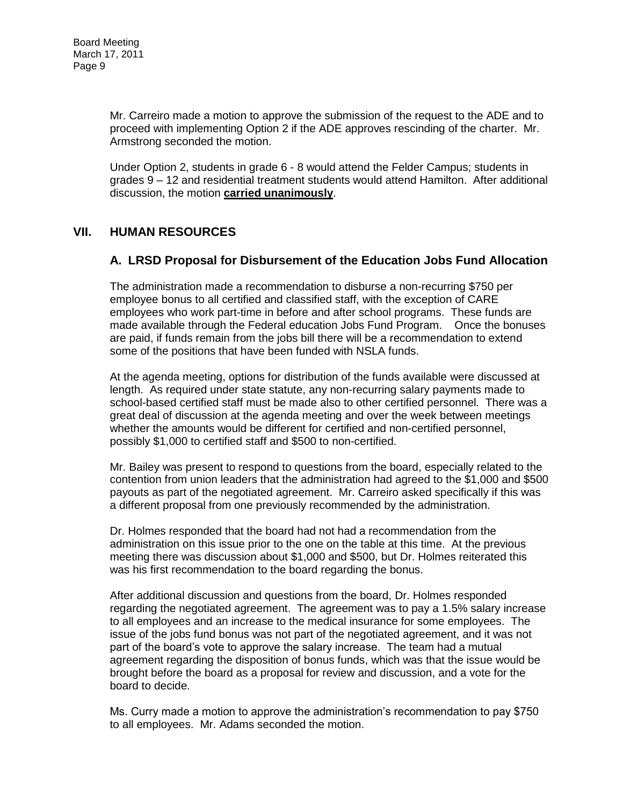Mr. Carreiro made a motion to approve the submission of the request to the ADE and to proceed with implementing Option 2 if the ADE approves rescinding of the charter. Mr. Armstrong seconded the motion.

Under Option 2, students in grade 6 - 8 would attend the Felder Campus; students in grades 9 – 12 and residential treatment students would attend Hamilton. After additional discussion, the motion **carried unanimously**.

## **VII. HUMAN RESOURCES**

### **A. LRSD Proposal for Disbursement of the Education Jobs Fund Allocation**

The administration made a recommendation to disburse a non-recurring \$750 per employee bonus to all certified and classified staff, with the exception of CARE employees who work part-time in before and after school programs. These funds are made available through the Federal education Jobs Fund Program. Once the bonuses are paid, if funds remain from the jobs bill there will be a recommendation to extend some of the positions that have been funded with NSLA funds.

At the agenda meeting, options for distribution of the funds available were discussed at length. As required under state statute, any non-recurring salary payments made to school-based certified staff must be made also to other certified personnel. There was a great deal of discussion at the agenda meeting and over the week between meetings whether the amounts would be different for certified and non-certified personnel, possibly \$1,000 to certified staff and \$500 to non-certified.

Mr. Bailey was present to respond to questions from the board, especially related to the contention from union leaders that the administration had agreed to the \$1,000 and \$500 payouts as part of the negotiated agreement. Mr. Carreiro asked specifically if this was a different proposal from one previously recommended by the administration.

Dr. Holmes responded that the board had not had a recommendation from the administration on this issue prior to the one on the table at this time. At the previous meeting there was discussion about \$1,000 and \$500, but Dr. Holmes reiterated this was his first recommendation to the board regarding the bonus.

After additional discussion and questions from the board, Dr. Holmes responded regarding the negotiated agreement. The agreement was to pay a 1.5% salary increase to all employees and an increase to the medical insurance for some employees. The issue of the jobs fund bonus was not part of the negotiated agreement, and it was not part of the board's vote to approve the salary increase. The team had a mutual agreement regarding the disposition of bonus funds, which was that the issue would be brought before the board as a proposal for review and discussion, and a vote for the board to decide.

Ms. Curry made a motion to approve the administration's recommendation to pay \$750 to all employees. Mr. Adams seconded the motion.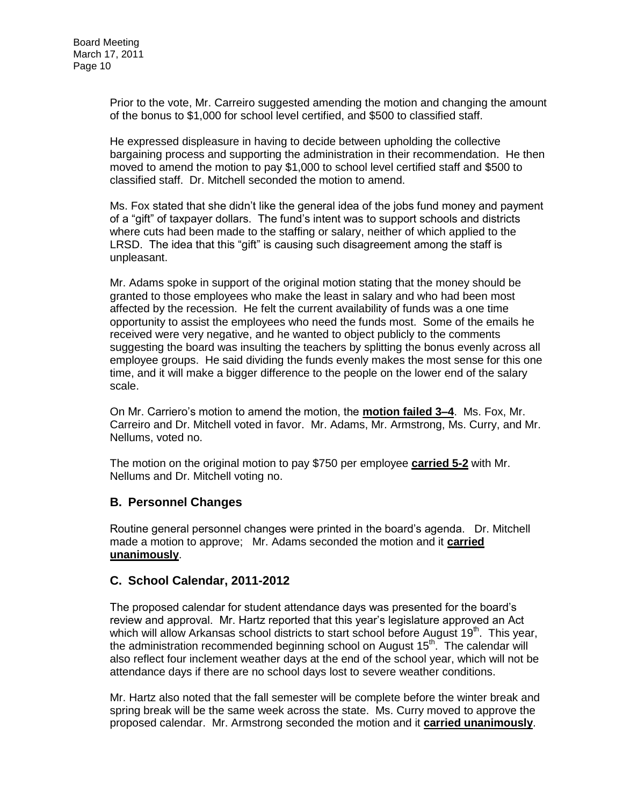Prior to the vote, Mr. Carreiro suggested amending the motion and changing the amount of the bonus to \$1,000 for school level certified, and \$500 to classified staff.

He expressed displeasure in having to decide between upholding the collective bargaining process and supporting the administration in their recommendation. He then moved to amend the motion to pay \$1,000 to school level certified staff and \$500 to classified staff. Dr. Mitchell seconded the motion to amend.

Ms. Fox stated that she didn't like the general idea of the jobs fund money and payment of a "gift" of taxpayer dollars. The fund's intent was to support schools and districts where cuts had been made to the staffing or salary, neither of which applied to the LRSD. The idea that this "gift" is causing such disagreement among the staff is unpleasant.

Mr. Adams spoke in support of the original motion stating that the money should be granted to those employees who make the least in salary and who had been most affected by the recession. He felt the current availability of funds was a one time opportunity to assist the employees who need the funds most. Some of the emails he received were very negative, and he wanted to object publicly to the comments suggesting the board was insulting the teachers by splitting the bonus evenly across all employee groups. He said dividing the funds evenly makes the most sense for this one time, and it will make a bigger difference to the people on the lower end of the salary scale.

On Mr. Carriero's motion to amend the motion, the **motion failed 3–4**. Ms. Fox, Mr. Carreiro and Dr. Mitchell voted in favor. Mr. Adams, Mr. Armstrong, Ms. Curry, and Mr. Nellums, voted no.

The motion on the original motion to pay \$750 per employee **carried 5-2** with Mr. Nellums and Dr. Mitchell voting no.

## **B. Personnel Changes**

Routine general personnel changes were printed in the board's agenda. Dr. Mitchell made a motion to approve; Mr. Adams seconded the motion and it **carried unanimously**.

#### **C. School Calendar, 2011-2012**

The proposed calendar for student attendance days was presented for the board's review and approval. Mr. Hartz reported that this year's legislature approved an Act which will allow Arkansas school districts to start school before August  $19<sup>th</sup>$ . This year, the administration recommended beginning school on August 15<sup>th</sup>. The calendar will also reflect four inclement weather days at the end of the school year, which will not be attendance days if there are no school days lost to severe weather conditions.

Mr. Hartz also noted that the fall semester will be complete before the winter break and spring break will be the same week across the state. Ms. Curry moved to approve the proposed calendar. Mr. Armstrong seconded the motion and it **carried unanimously**.